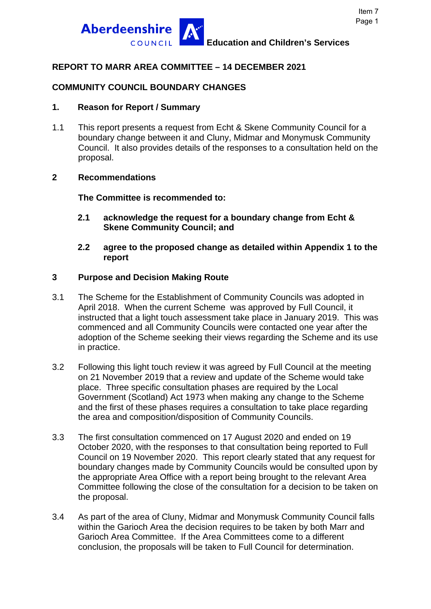

## **REPORT TO MARR AREA COMMITTEE – 14 DECEMBER 2021**

# **COMMUNITY COUNCIL BOUNDARY CHANGES**

### **1. Reason for Report / Summary**

1.1 This report presents a request from Echt & Skene Community Council for a boundary change between it and Cluny, Midmar and Monymusk Community Council. It also provides details of the responses to a consultation held on the proposal.

#### **2 Recommendations**

**The Committee is recommended to:** 

- **2.1 acknowledge the request for a boundary change from Echt & Skene Community Council; and**
- **2.2 agree to the proposed change as detailed within Appendix 1 to the report**

### **3 Purpose and Decision Making Route**

- 3.1 The Scheme for the Establishment of Community Councils was adopted in April 2018. When the current Scheme was approved by Full Council, it instructed that a light touch assessment take place in January 2019. This was commenced and all Community Councils were contacted one year after the adoption of the Scheme seeking their views regarding the Scheme and its use in practice.
- 3.2 Following this light touch review it was agreed by Full Council at the meeting on 21 November 2019 that a review and update of the Scheme would take place. Three specific consultation phases are required by the Local Government (Scotland) Act 1973 when making any change to the Scheme and the first of these phases requires a consultation to take place regarding the area and composition/disposition of Community Councils.
- 3.3 The first consultation commenced on 17 August 2020 and ended on 19 October 2020, with the responses to that consultation being reported to Full Council on 19 November 2020. This report clearly stated that any request for boundary changes made by Community Councils would be consulted upon by the appropriate Area Office with a report being brought to the relevant Area Committee following the close of the consultation for a decision to be taken on the proposal.
- 3.4 As part of the area of Cluny, Midmar and Monymusk Community Council falls within the Garioch Area the decision requires to be taken by both Marr and Garioch Area Committee. If the Area Committees come to a different conclusion, the proposals will be taken to Full Council for determination.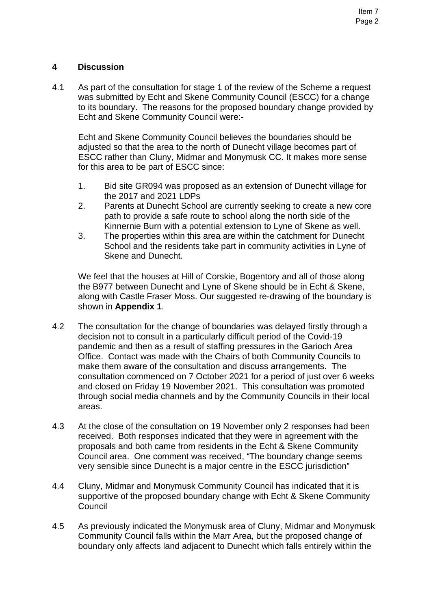### **4 Discussion**

4.1 As part of the consultation for stage 1 of the review of the Scheme a request was submitted by Echt and Skene Community Council (ESCC) for a change to its boundary. The reasons for the proposed boundary change provided by Echt and Skene Community Council were:-

Echt and Skene Community Council believes the boundaries should be adjusted so that the area to the north of Dunecht village becomes part of ESCC rather than Cluny, Midmar and Monymusk CC. It makes more sense for this area to be part of ESCC since:

- 1. Bid site GR094 was proposed as an extension of Dunecht village for the 2017 and 2021 LDPs
- 2. Parents at Dunecht School are currently seeking to create a new core path to provide a safe route to school along the north side of the Kinnernie Burn with a potential extension to Lyne of Skene as well.
- 3. The properties within this area are within the catchment for Dunecht School and the residents take part in community activities in Lyne of Skene and Dunecht.

We feel that the houses at Hill of Corskie, Bogentory and all of those along the B977 between Dunecht and Lyne of Skene should be in Echt & Skene, along with Castle Fraser Moss. Our suggested re-drawing of the boundary is shown in **Appendix 1**.

- 4.2 The consultation for the change of boundaries was delayed firstly through a decision not to consult in a particularly difficult period of the Covid-19 pandemic and then as a result of staffing pressures in the Garioch Area Office. Contact was made with the Chairs of both Community Councils to make them aware of the consultation and discuss arrangements. The consultation commenced on 7 October 2021 for a period of just over 6 weeks and closed on Friday 19 November 2021. This consultation was promoted through social media channels and by the Community Councils in their local areas.
- 4.3 At the close of the consultation on 19 November only 2 responses had been received. Both responses indicated that they were in agreement with the proposals and both came from residents in the Echt & Skene Community Council area. One comment was received, "The boundary change seems very sensible since Dunecht is a major centre in the ESCC jurisdiction"
- 4.4 Cluny, Midmar and Monymusk Community Council has indicated that it is supportive of the proposed boundary change with Echt & Skene Community Council
- 4.5 As previously indicated the Monymusk area of Cluny, Midmar and Monymusk Community Council falls within the Marr Area, but the proposed change of boundary only affects land adjacent to Dunecht which falls entirely within the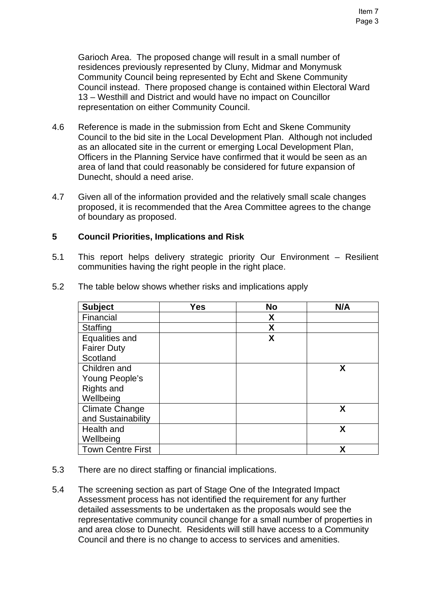Garioch Area. The proposed change will result in a small number of residences previously represented by Cluny, Midmar and Monymusk Community Council being represented by Echt and Skene Community Council instead. There proposed change is contained within Electoral Ward 13 – Westhill and District and would have no impact on Councillor representation on either Community Council.

- 4.6 Reference is made in the submission from Echt and Skene Community Council to the bid site in the Local Development Plan. Although not included as an allocated site in the current or emerging Local Development Plan, Officers in the Planning Service have confirmed that it would be seen as an area of land that could reasonably be considered for future expansion of Dunecht, should a need arise.
- 4.7 Given all of the information provided and the relatively small scale changes proposed, it is recommended that the Area Committee agrees to the change of boundary as proposed.

#### **5 Council Priorities, Implications and Risk**

5.1 This report helps delivery strategic priority Our Environment – Resilient communities having the right people in the right place.

| <b>Subject</b>           | <b>Yes</b> | <b>No</b> | N/A |
|--------------------------|------------|-----------|-----|
| Financial                |            | X         |     |
| <b>Staffing</b>          |            | X         |     |
| Equalities and           |            | X         |     |
| <b>Fairer Duty</b>       |            |           |     |
| Scotland                 |            |           |     |
| Children and             |            |           | X   |
| Young People's           |            |           |     |
| Rights and               |            |           |     |
| Wellbeing                |            |           |     |
| <b>Climate Change</b>    |            |           | X   |
| and Sustainability       |            |           |     |
| Health and               |            |           | X   |
| Wellbeing                |            |           |     |
| <b>Town Centre First</b> |            |           | χ   |

5.2 The table below shows whether risks and implications apply

- 5.3 There are no direct staffing or financial implications.
- 5.4 The screening section as part of Stage One of the Integrated Impact Assessment process has not identified the requirement for any further detailed assessments to be undertaken as the proposals would see the representative community council change for a small number of properties in and area close to Dunecht. Residents will still have access to a Community Council and there is no change to access to services and amenities.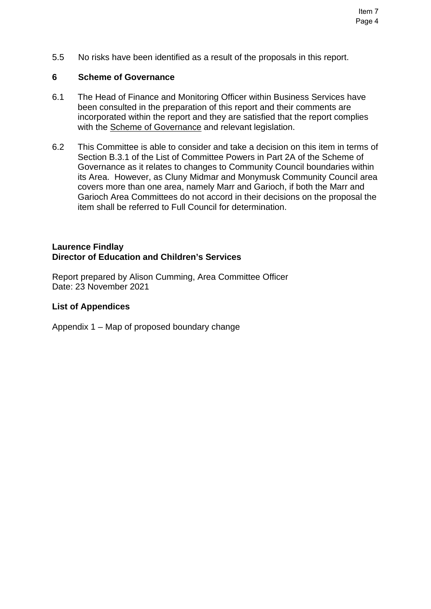5.5 No risks have been identified as a result of the proposals in this report.

#### **6 Scheme of Governance**

- 6.1 The Head of Finance and Monitoring Officer within Business Services have been consulted in the preparation of this report and their comments are incorporated within the report and they are satisfied that the report complies with the [Scheme of Governance](https://www.aberdeenshire.gov.uk/council-and-democracy/scheme-of-governance/) and relevant legislation.
- 6.2 This Committee is able to consider and take a decision on this item in terms of Section B.3.1 of the List of Committee Powers in Part 2A of the Scheme of Governance as it relates to changes to Community Council boundaries within its Area. However, as Cluny Midmar and Monymusk Community Council area covers more than one area, namely Marr and Garioch, if both the Marr and Garioch Area Committees do not accord in their decisions on the proposal the item shall be referred to Full Council for determination.

#### **Laurence Findlay Director of Education and Children's Services**

Report prepared by Alison Cumming, Area Committee Officer Date: 23 November 2021

#### **List of Appendices**

Appendix 1 – Map of proposed boundary change